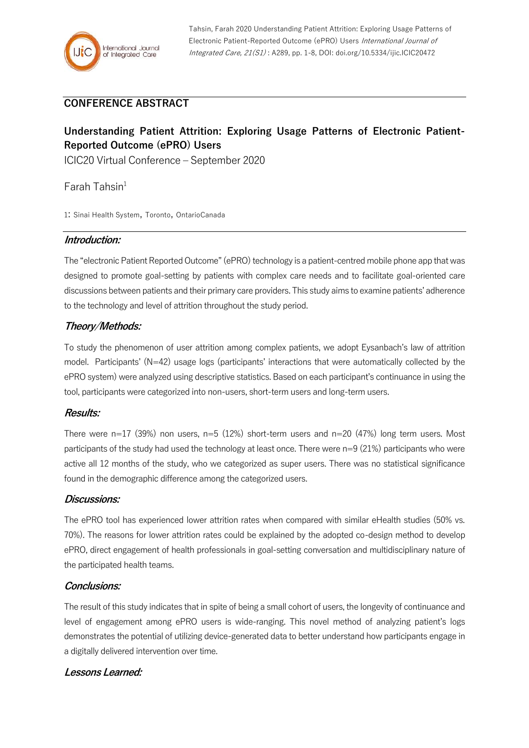## **CONFERENCE ABSTRACT**

# **Understanding Patient Attrition: Exploring Usage Patterns of Electronic Patient-Reported Outcome (ePRO) Users**

ICIC20 Virtual Conference – September 2020

 $Farah$  Tahsin<sup>1</sup>

1: Sinai Health System, Toronto, OntarioCanada

#### **Introduction:**

The "electronic Patient Reported Outcome" (ePRO) technology is a patient-centred mobile phone app that was designed to promote goal-setting by patients with complex care needs and to facilitate goal-oriented care discussions between patients and their primary care providers. This study aims to examine patients' adherence to the technology and level of attrition throughout the study period.

## **Theory/Methods:**

To study the phenomenon of user attrition among complex patients, we adopt Eysanbach's law of attrition model. Participants' (N=42) usage logs (participants' interactions that were automatically collected by the ePRO system) were analyzed using descriptive statistics. Based on each participant's continuance in using the tool, participants were categorized into non-users, short-term users and long-term users.

### **Results:**

There were  $n=17$  (39%) non users,  $n=5$  (12%) short-term users and  $n=20$  (47%) long term users. Most participants of the study had used the technology at least once. There were n=9 (21%) participants who were active all 12 months of the study, who we categorized as super users. There was no statistical significance found in the demographic difference among the categorized users.

### **Discussions:**

The ePRO tool has experienced lower attrition rates when compared with similar eHealth studies (50% vs. 70%). The reasons for lower attrition rates could be explained by the adopted co-design method to develop ePRO, direct engagement of health professionals in goal-setting conversation and multidisciplinary nature of the participated health teams.

### **Conclusions:**

The result of this study indicates that in spite of being a small cohort of users, the longevity of continuance and level of engagement among ePRO users is wide-ranging. This novel method of analyzing patient's logs demonstrates the potential of utilizing device-generated data to better understand how participants engage in a digitally delivered intervention over time.

### **Lessons Learned:**